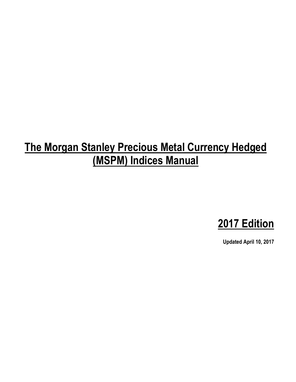# **The Morgan Stanley Precious Metal Currency Hedged (MSPM) Indices Manual**



**Updated April 10, 2017**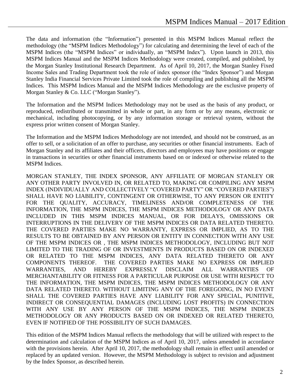The data and information (the "Information") presented in this MSPM Indices Manual reflect the methodology (the "MSPM Indices Methodology") for calculating and determining the level of each of the MSPM Indices (the "MSPM Indices" or individually, an "MSPM Index"). Upon launch in 2013, this MSPM Indices Manual and the MSPM Indices Methodology were created, compiled, and published, by the Morgan Stanley Institutional Research Department. As of April 10, 2017, the Morgan Stanley Fixed Income Sales and Trading Department took the role of index sponsor (the "Index Sponsor") and Morgan Stanley India Financial Services Private Limited took the role of compiling and publishing all the MSPM Indices. This MSPM Indices Manual and the MSPM Indices Methodology are the exclusive property of Morgan Stanley & Co. LLC ("Morgan Stanley").

The Information and the MSPM Indices Methodology may not be used as the basis of any product, or reproduced, redistributed or transmitted in whole or part, in any form or by any means, electronic or mechanical, including photocopying, or by any information storage or retrieval system, without the express prior written consent of Morgan Stanley.

The Information and the MSPM Indices Methodology are not intended, and should not be construed, as an offer to sell, or a solicitation of an offer to purchase, any securities or other financial instruments. Each of Morgan Stanley and its affiliates and their officers, directors and employees may have positions or engage in transactions in securities or other financial instruments based on or indexed or otherwise related to the MSPM Indices.

MORGAN STANLEY, THE INDEX SPONSOR, ANY AFFILIATE OF MORGAN STANLEY OR ANY OTHER PARTY INVOLVED IN, OR RELATED TO, MAKING OR COMPILING ANY MSPM INDEX (INDIVIDUALLY AND COLLECTIVELY "COVERED PARTY" OR "COVERED PARTIES") SHALL HAVE NO LIABILITY, CONTINGENT OR OTHERWISE, TO ANY PERSON OR ENTITY FOR THE QUALITY, ACCURACY, TIMELINESS AND/OR COMPLETENESS OF THE INFORMATION, THE MSPM INDICES, THE MSPM INDICES METHODOLOGY OR ANY DATA INCLUDED IN THIS MSPM INDICES MANUAL, OR FOR DELAYS, OMISSIONS OR INTERRUPTIONS IN THE DELIVERY OF THE MSPM INDICES OR DATA RELATED THERETO. THE COVERED PARTIES MAKE NO WARRANTY, EXPRESS OR IMPLIED, AS TO THE RESULTS TO BE OBTAINED BY ANY PERSON OR ENTITY IN CONNECTION WITH ANY USE OF THE MSPM INDICES OR , THE MSPM INDICES METHODOLOGY, INCLUDING BUT NOT LIMITED TO THE TRADING OF OR INVESTMENTS IN PRODUCTS BASED ON OR INDEXED OR RELATED TO THE MSPM INDICES, ANY DATA RELATED THERETO OR ANY COMPONENTS THEREOF. THE COVERED PARTIES MAKE NO EXPRESS OR IMPLIED WARRANTIES, AND HEREBY EXPRESSLY DISCLAIM ALL WARRANTIES OF MERCHANTABILITY OR FITNESS FOR A PARTICULAR PURPOSE OR USE WITH RESPECT TO THE INFORMATION, THE MSPM INDICES, THE MSPM INDICES METHODOLOGY OR ANY DATA RELATED THERETO. WITHOUT LIMITING ANY OF THE FOREGOING, IN NO EVENT SHALL THE COVERED PARTIES HAVE ANY LIABILITY FOR ANY SPECIAL, PUNITIVE, INDIRECT OR CONSEQUENTIAL DAMAGES (INCLUDING LOST PROFITS) IN CONNECTION WITH ANY USE BY ANY PERSON OF THE MSPM INDICES, THE MSPM INDICES METHODOLOGY OR ANY PRODUCTS BASED ON OR INDEXED OR RELATED THERETO, EVEN IF NOTIFIED OF THE POSSIBILITY OF SUCH DAMAGES.

This edition of the MSPM Indices Manual reflects the methodology that will be utilized with respect to the determination and calculation of the MSPM Indices as of April 10, 2017, unless amended in accordance with the provisions herein. After April 10, 2017, the methodology shall remain in effect until amended or replaced by an updated version. However, the MSPM Methodology is subject to revision and adjustment by the Index Sponsor, as described herein.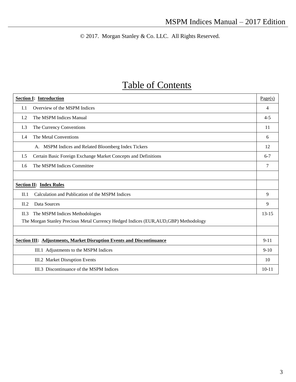© 2017. Morgan Stanley & Co. LLC. All Rights Reserved.

## Table of Contents

| <b>Section I: Introduction</b>                                                        | Page(s)        |  |  |
|---------------------------------------------------------------------------------------|----------------|--|--|
| Overview of the MSPM Indices<br>I.1                                                   | $\overline{4}$ |  |  |
| The MSPM Indices Manual<br>L <sub>2</sub>                                             | $4 - 5$        |  |  |
| I.3<br>The Currency Conventions                                                       | 11             |  |  |
| The Metal Conventions<br>I.4                                                          | 6              |  |  |
| A. MSPM Indices and Related Bloomberg Index Tickers                                   | 12             |  |  |
| Certain Basic Foreign Exchange Market Concepts and Definitions<br>I.5                 | $6 - 7$        |  |  |
| The MSPM Indices Committee<br>I.6                                                     | 7              |  |  |
|                                                                                       |                |  |  |
| <b>Section II: Index Rules</b>                                                        |                |  |  |
| Calculation and Publication of the MSPM Indices<br>II.1                               | 9              |  |  |
| Data Sources<br>II.2                                                                  | 9              |  |  |
| The MSPM Indices Methodologies<br>II.3                                                | $13 - 15$      |  |  |
| The Morgan Stanley Precious Metal Currency Hedged Indices (EUR, AUD, GBP) Methodology |                |  |  |
|                                                                                       |                |  |  |
| <b>Section III: Adjustments, Market Disruption Events and Discontinuance</b>          |                |  |  |
| III.1 Adjustments to the MSPM Indices                                                 | $9-10$         |  |  |
| III.2 Market Disruption Events                                                        | 10             |  |  |
| III.3 Discontinuance of the MSPM Indices                                              | $10 - 11$      |  |  |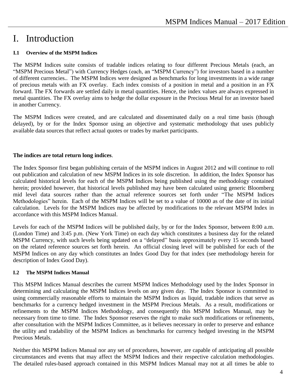### I. Introduction

#### **I.1 Overview of the MSPM Indices**

The MSPM Indices suite consists of tradable indices relating to four different Precious Metals (each, an "MSPM Precious Metal") with Currency Hedges (each, an "MSPM Currency") for investors based in a number of different currencies.. The MSPM Indices were designed as benchmarks for long investments in a wide range of precious metals with an FX overlay. Each index consists of a position in metal and a position in an FX forward. The FX forwards are settled daily in metal quantities. Hence, the index values are always expressed in metal quantities. The FX overlay aims to hedge the dollar exposure in the Precious Metal for an investor based in another Currency.

The MSPM Indices were created, and are calculated and disseminated daily on a real time basis (though delayed), by or for the Index Sponsor using an objective and systematic methodology that uses publicly available data sources that reflect actual quotes or trades by market participants.

#### **The indices are total return long indices**.

The Index Sponsor first began publishing certain of the MSPM indices in August 2012 and will continue to roll out publication and calculation of new MSPM Indices in its sole discretion. In addition, the Index Sponsor has calculated historical levels for each of the MSPM Indices being published using the methodology contained herein; provided however, that historical levels published may have been calculated using generic Bloomberg mid level data sources rather than the actual reference sources set forth under "The MSPM Indices Methodologies" herein. Each of the MSPM Indices will be set to a value of 10000 as of the date of its initial calculation. Levels for the MSPM Indices may be affected by modifications to the relevant MSPM Index in accordance with this MSPM Indices Manual.

Levels for each of the MSPM Indices will be published daily, by or for the Index Sponsor, between 8:00 a.m. (London Time) and 3:45 p.m. (New York Time) on each day which constitutes a business day for the related MSPM Currency, with such levels being updated on a "delayed" basis approximately every 15 seconds based on the related reference sources set forth herein. An official closing level will be published for each of the MSPM Indices on any day which constitutes an Index Good Day for that index (see methodology herein for description of Index Good Day).

#### **I.2 The MSPM Indices Manual**

This MSPM Indices Manual describes the current MSPM Indices Methodology used by the Index Sponsor in determining and calculating the MSPM Indices levels on any given day. The Index Sponsor is committed to using commercially reasonable efforts to maintain the MSPM Indices as liquid, tradable indices that serve as benchmarks for a currency hedged investment in the MSPM Precious Metals. As a result, modifications or refinements to the MSPM Indices Methodology, and consequently this MSPM Indices Manual, may be necessary from time to time. The Index Sponsor reserves the right to make such modifications or refinements, after consultation with the MSPM Indices Committee, as it believes necessary in order to preserve and enhance the utility and tradability of the MSPM Indices as benchmarks for currency hedged investing in the MSPM Precious Metals.

Neither this MSPM Indices Manual nor any set of procedures, however, are capable of anticipating all possible circumstances and events that may affect the MSPM Indices and their respective calculation methodologies. The detailed rules-based approach contained in this MSPM Indices Manual may not at all times be able to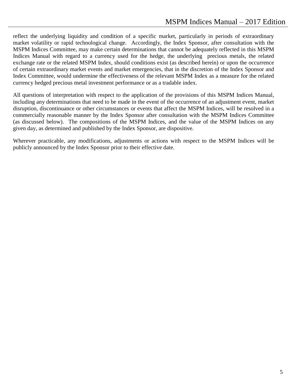reflect the underlying liquidity and condition of a specific market, particularly in periods of extraordinary market volatility or rapid technological change. Accordingly, the Index Sponsor, after consultation with the MSPM Indices Committee, may make certain determinations that cannot be adequately reflected in this MSPM Indices Manual with regard to a currency used for the hedge, the underlying precious metals, the related exchange rate or the related MSPM Index, should conditions exist (as described herein) or upon the occurrence of certain extraordinary market events and market emergencies, that in the discretion of the Index Sponsor and Index Committee, would undermine the effectiveness of the relevant MSPM Index as a measure for the related currency hedged precious metal investment performance or as a tradable index.

All questions of interpretation with respect to the application of the provisions of this MSPM Indices Manual, including any determinations that need to be made in the event of the occurrence of an adjustment event, market disruption, discontinuance or other circumstances or events that affect the MSPM Indices, will be resolved in a commercially reasonable manner by the Index Sponsor after consultation with the MSPM Indices Committee (as discussed below). The compositions of the MSPM Indices, and the value of the MSPM Indices on any given day, as determined and published by the Index Sponsor, are dispositive.

Wherever practicable, any modifications, adjustments or actions with respect to the MSPM Indices will be publicly announced by the Index Sponsor prior to their effective date.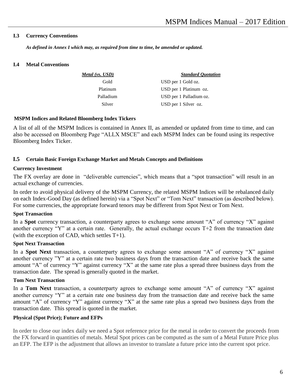#### **I.3 Currency Conventions**

*As defined in Annex I which may, as required from time to time, be amended or updated.*

#### **I.4 Metal Conventions**

| Metal (vs. USD) | <b>Standard Ouotation</b> |
|-----------------|---------------------------|
| Gold            | USD per 1 Gold oz.        |
| Platinum        | USD per 1 Platinum oz.    |
| Palladium       | USD per 1 Palladium oz.   |
| Silver          | USD per 1 Silver oz.      |

#### **MSPM Indices and Related Bloomberg Index Tickers**

A list of all of the MSPM Indices is contained in Annex II, as amended or updated from time to time, and can also be accessed on Bloomberg Page "ALLX MSCE" and each MSPM Index can be found using its respective Bloomberg Index Ticker.

#### **I.5 Certain Basic Foreign Exchange Market and Metals Concepts and Definitions**

#### **Currency Investment**

The FX overlay are done in "deliverable currencies", which means that a "spot transaction" will result in an actual exchange of currencies.

In order to avoid physical delivery of the MSPM Currency, the related MSPM Indices will be rebalanced daily on each Index-Good Day (as defined herein) via a "Spot Next" or "Tom Next" transaction (as described below). For some currencies, the appropriate forward tenors may be different from Spot Next or Tom Next.

#### **Spot Transaction**

In a **Spot** currency transaction, a counterparty agrees to exchange some amount "A" of currency "X" against another currency "Y" at a certain rate. Generally, the actual exchange occurs T+2 from the transaction date (with the exception of CAD, which settles T+1).

#### **Spot Next Transaction**

In a **Spot Next** transaction, a counterparty agrees to exchange some amount "A" of currency "X" against another currency "Y" at a certain rate two business days from the transaction date and receive back the same amount "A" of currency "Y" against currency "X" at the same rate plus a spread three business days from the transaction date. The spread is generally quoted in the market.

#### **Tom Next Transaction**

In a **Tom Next** transaction, a counterparty agrees to exchange some amount "A" of currency "X" against another currency "Y" at a certain rate one business day from the transaction date and receive back the same amount "A" of currency "Y" against currency "X" at the same rate plus a spread two business days from the transaction date. This spread is quoted in the market.

#### **Physical (Spot Price); Future and EFPs**

In order to close our index daily we need a Spot reference price for the metal in order to convert the proceeds from the FX forward in quantities of metals. Metal Spot prices can be computed as the sum of a Metal Future Price plus an EFP. The EFP is the adjustment that allows an investor to translate a future price into the current spot price.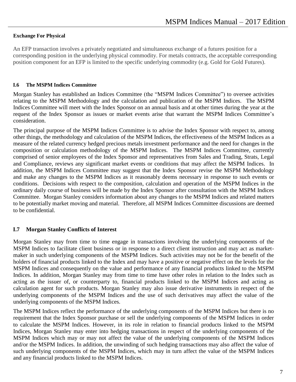#### **Exchange For Physical**

An EFP transaction involves a privately negotiated and simultaneous exchange of a futures position for a corresponding position in the underlying physical commodity. For metals contracts, the acceptable corresponding position component for an EFP is limited to the specific underlying commodity (e.g. Gold for Gold Futures).

#### **I.6 The MSPM Indices Committee**

Morgan Stanley has established an Indices Committee (the "MSPM Indices Committee") to oversee activities relating to the MSPM Methodology and the calculation and publication of the MSPM Indices. The MSPM Indices Committee will meet with the Index Sponsor on an annual basis and at other times during the year at the request of the Index Sponsor as issues or market events arise that warrant the MSPM Indices Committee's consideration.

The principal purpose of the MSPM Indices Committee is to advise the Index Sponsor with respect to, among other things, the methodology and calculation of the MSPM Indices, the effectiveness of the MSPM Indices as a measure of the related currency hedged precious metals investment performance and the need for changes in the composition or calculation methodology of the MSPM Indices. The MSPM Indices Committee, currently comprised of senior employees of the Index Sponsor and representatives from Sales and Trading, Strats, Legal and Compliance, reviews any significant market events or conditions that may affect the MSPM Indices. In addition, the MSPM Indices Committee may suggest that the Index Sponsor revise the MSPM Methodology and make any changes to the MSPM Indices as it reasonably deems necessary in response to such events or conditions. Decisions with respect to the composition, calculation and operation of the MSPM Indices in the ordinary daily course of business will be made by the Index Sponsor after consultation with the MSPM Indices Committee. Morgan Stanley considers information about any changes to the MSPM Indices and related matters to be potentially market moving and material. Therefore, all MSPM Indices Committee discussions are deemed to be confidential.

#### **I.7 Morgan Stanley Conflicts of Interest**

Morgan Stanley may from time to time engage in transactions involving the underlying components of the MSPM Indices to facilitate client business or in response to a direct client instruction and may act as marketmaker in such underlying components of the MSPM Indices. Such activities may not be for the benefit of the holders of financial products linked to the Index and may have a positive or negative effect on the levels for the MSPM Indices and consequently on the value and performance of any financial products linked to the MSPM Indices. In addition, Morgan Stanley may from time to time have other roles in relation to the Index such as acting as the issuer of, or counterparty to, financial products linked to the MSPM Indices and acting as calculation agent for such products. Morgan Stanley may also issue derivative instruments in respect of the underlying components of the MSPM Indices and the use of such derivatives may affect the value of the underlying components of the MSPM Indices.

The MSPM Indices reflect the performance of the underlying components of the MSPM Indices but there is no requirement that the Index Sponsor purchase or sell the underlying components of the MSPM Indices in order to calculate the MSPM Indices. However, in its role in relation to financial products linked to the MSPM Indices, Morgan Stanley may enter into hedging transactions in respect of the underlying components of the MSPM Indices which may or may not affect the value of the underlying components of the MSPM Indices and/or the MSPM Indices. In addition, the unwinding of such hedging transactions may also affect the value of such underlying components of the MSPM Indices, which may in turn affect the value of the MSPM Indices and any financial products linked to the MSPM Indices.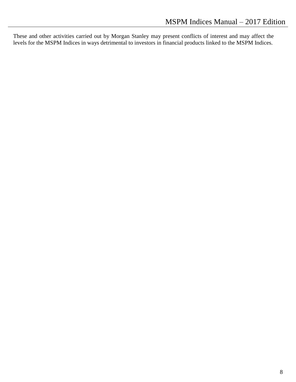These and other activities carried out by Morgan Stanley may present conflicts of interest and may affect the levels for the MSPM Indices in ways detrimental to investors in financial products linked to the MSPM Indices.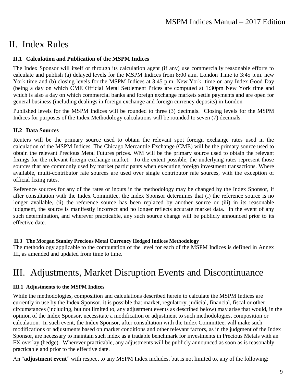### II. Index Rules

#### **II.1 Calculation and Publication of the MSPM Indices**

The Index Sponsor will itself or through its calculation agent (if any) use commercially reasonable efforts to calculate and publish (a) delayed levels for the MSPM Indices from 8:00 a.m. London Time to 3:45 p.m. new York time and (b) closing levels for the MSPM Indices at 3:45 p.m. New York time on any Index Good Day (being a day on which CME Official Metal Settlement Prices are computed at 1:30pm New York time and which is also a day on which commercial banks and foreign exchange markets settle payments and are open for general business (including dealings in foreign exchange and foreign currency deposits) in London

Published levels for the MSPM Indices will be rounded to three (3) decimals. Closing levels for the MSPM Indices for purposes of the Index Methodology calculations will be rounded to seven (7) decimals.

#### **II.2 Data Sources**

Reuters will be the primary source used to obtain the relevant spot foreign exchange rates used in the calculation of the MSPM Indices. The Chicago Mercantile Exchange (CME) will be the primary source used to obtain the relevant Precious Metal Futures prices. WM will be the primary source used to obtain the relevant fixings for the relevant foreign exchange market. To the extent possible, the underlying rates represent those sources that are commonly used by market participants when executing foreign investment transactions. Where available, multi-contributor rate sources are used over single contributor rate sources, with the exception of official fixing rates.

Reference sources for any of the rates or inputs in the methodology may be changed by the Index Sponsor, if after consultation with the Index Committee, the Index Sponsor determines that (i) the reference source is no longer available, (ii) the reference source has been replaced by another source or (iii) in its reasonable judgment, the source is manifestly incorrect and no longer reflects accurate market data. In the event of any such determination, and wherever practicable, any such source change will be publicly announced prior to its effective date.

#### **II.3 The Morgan Stanley Precious Metal Currency Hedged Indices Methodology**

The methodology applicable to the computation of the level for each of the MSPM Indices is defined in Annex III, as amended and updated from time to time.

### III. Adjustments, Market Disruption Events and Discontinuance

#### **III.1 Adjustments to the MSPM Indices**

While the methodologies, composition and calculations described herein to calculate the MSPM Indices are currently in use by the Index Sponsor, it is possible that market, regulatory, judicial, financial, fiscal or other circumstances (including, but not limited to, any adjustment events as described below) may arise that would, in the opinion of the Index Sponsor, necessitate a modification or adjustment to such methodologies, composition or calculation. In such event, the Index Sponsor, after consultation with the Index Committee, will make such modifications or adjustments based on market conditions and other relevant factors, as in the judgment of the Index Sponsor, are necessary to maintain such index as a tradable benchmark for investments in Precious Metals with an FX overlay (hedge). Wherever practicable, any adjustments will be publicly announced as soon as is reasonably practicable and prior to the effective date.

An "**adjustment event**" with respect to any MSPM Index includes, but is not limited to, any of the following: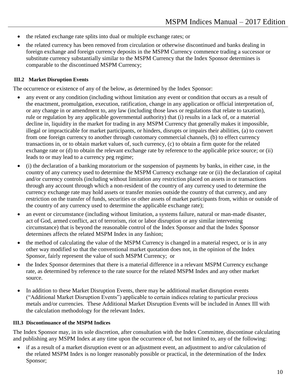- the related exchange rate splits into dual or multiple exchange rates; or
- the related currency has been removed from circulation or otherwise discontinued and banks dealing in foreign exchange and foreign currency deposits in the MSPM Currency commence trading a successor or substitute currency substantially similar to the MSPM Currency that the Index Sponsor determines is comparable to the discontinued MSPM Currency;

#### **III.2 Market Disruption Events**

The occurrence or existence of any of the below, as determined by the Index Sponsor:

- any event or any condition (including without limitation any event or condition that occurs as a result of the enactment, promulgation, execution, ratification, change in any application or official interpretation of, or any change in or amendment to, any law (including those laws or regulations that relate to taxation), rule or regulation by any applicable governmental authority) that (i) results in a lack of, or a material decline in, liquidity in the market for trading in any MSPM Currency that generally makes it impossible, illegal or impracticable for market participants, or hinders, disrupts or impairs their abilities, (a) to convert from one foreign currency to another through customary commercial channels, (b) to effect currency transactions in, or to obtain market values of, such currency, (c) to obtain a firm quote for the related exchange rate or (d) to obtain the relevant exchange rate by reference to the applicable price source; or (ii) leads to or may lead to a currency peg regime;
- (i) the declaration of a banking moratorium or the suspension of payments by banks, in either case, in the country of any currency used to determine the MSPM Currency exchange rate or (ii) the declaration of capital and/or currency controls (including without limitation any restriction placed on assets in or transactions through any account through which a non-resident of the country of any currency used to determine the currency exchange rate may hold assets or transfer monies outside the country of that currency, and any restriction on the transfer of funds, securities or other assets of market participants from, within or outside of the country of any currency used to determine the applicable exchange rate);
- an event or circumstance (including without limitation, a systems failure, natural or man-made disaster, act of God, armed conflict, act of terrorism, riot or labor disruption or any similar intervening circumstance) that is beyond the reasonable control of the Index Sponsor and that the Index Sponsor determines affects the related MSPM Index in any fashion;
- the method of calculating the value of the MSPM Currency is changed in a material respect, or is in any other way modified so that the conventional market quotation does not, in the opinion of the Index Sponsor, fairly represent the value of such MSPM Currency; or
- the Index Sponsor determines that there is a material difference in a relevant MSPM Currency exchange rate, as determined by reference to the rate source for the related MSPM Index and any other market source.
- In addition to these Market Disruption Events, there may be additional market disruption events ("Additional Market Disruption Events") applicable to certain indices relating to particular precious metals and/or currencies. These Additional Market Disruption Events will be included in Annex III with the calculation methodology for the relevant Index.

#### **III.3 Discontinuance of the MSPM Indices**

The Index Sponsor may, in its sole discretion, after consultation with the Index Committee, discontinue calculating and publishing any MSPM Index at any time upon the occurrence of, but not limited to, any of the following:

 if as a result of a market disruption event or an adjustment event, an adjustment to and/or calculation of the related MSPM Index is no longer reasonably possible or practical, in the determination of the Index Sponsor;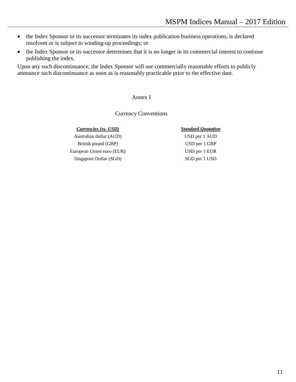- the Index Sponsor or its successor terminates its index publication business operations, is declared insolvent or is subject to winding-up proceedings; or
- the Index Sponsor or its successor determines that it is no longer in its commercial interest to continue publishing the index.

Upon any such discontinuance, the Index Sponsor will use commercially reasonable efforts to publicly announce such discontinuance as soon as is reasonably practicable prior to the effective date.

#### Annex I

#### Currency Conventions

#### *Currencies (vs. USD) Standard Quotation*

Australian dollar (AUD) USD per 1 AUD British pound (GBP) USD per 1 GBP European Union euro (EUR) USD per 1 EUR Singapore Dollar (SGD) SGD per 1 USD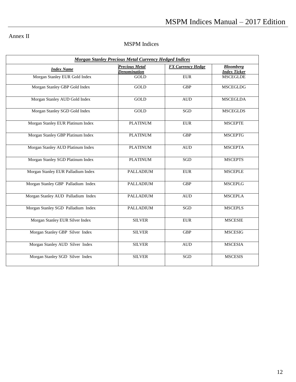### Annex II

### MSPM Indices

| <b>Morgan Stanley Precious Metal Currency Hedged Indices</b> |                                              |                          |                                         |  |
|--------------------------------------------------------------|----------------------------------------------|--------------------------|-----------------------------------------|--|
| <b>Index Name</b>                                            | <b>Precious Metal</b><br><b>Denomination</b> | <b>FX Currency Hedge</b> | <b>Bloomberg</b><br><b>Index Ticker</b> |  |
| Morgan Stanley EUR Gold Index                                | <b>GOLD</b>                                  | <b>EUR</b>               | <b>MSCEGLDE</b>                         |  |
| Morgan Stanley GBP Gold Index                                | GOLD                                         | <b>GBP</b>               | <b>MSCEGLDG</b>                         |  |
| Morgan Stanley AUD Gold Index                                | GOLD                                         | <b>AUD</b>               | <b>MSCEGLDA</b>                         |  |
| Morgan Stanley SGD Gold Index                                | <b>GOLD</b>                                  | SGD                      | <b>MSCEGLDS</b>                         |  |
| Morgan Stanley EUR Platinum Index                            | <b>PLATINUM</b>                              | <b>EUR</b>               | <b>MSCEPTE</b>                          |  |
| Morgan Stanley GBP Platinum Index                            | <b>PLATINUM</b>                              | $\overline{GBP}$         | <b>MSCEPTG</b>                          |  |
| Morgan Stanley AUD Platinum Index                            | <b>PLATINUM</b>                              | $\hbox{AUD}$             | <b>MSCEPTA</b>                          |  |
| Morgan Stanley SGD Platinum Index                            | <b>PLATINUM</b>                              | SGD                      | <b>MSCEPTS</b>                          |  |
| Morgan Stanley EUR Palladium Index                           | <b>PALLADIUM</b>                             | <b>EUR</b>               | <b>MSCEPLE</b>                          |  |
| Morgan Stanley GBP Palladium Index                           | <b>PALLADIUM</b>                             | <b>GBP</b>               | <b>MSCEPLG</b>                          |  |
| Morgan Stanley AUD Palladium Index                           | <b>PALLADIUM</b>                             | <b>AUD</b>               | <b>MSCEPLA</b>                          |  |
| Morgan Stanley SGD Palladium Index                           | <b>PALLADIUM</b>                             | SGD                      | <b>MSCEPLS</b>                          |  |
| Morgan Stanley EUR Silver Index                              | <b>SILVER</b><br><b>EUR</b>                  |                          | <b>MSCESIE</b>                          |  |
| Morgan Stanley GBP Silver Index                              | <b>SILVER</b>                                | <b>GBP</b>               | <b>MSCESIG</b>                          |  |
| Morgan Stanley AUD Silver Index                              | <b>SILVER</b>                                | <b>AUD</b>               | <b>MSCESIA</b>                          |  |
| Morgan Stanley SGD Silver Index                              | <b>SILVER</b>                                | SGD                      | <b>MSCESIS</b>                          |  |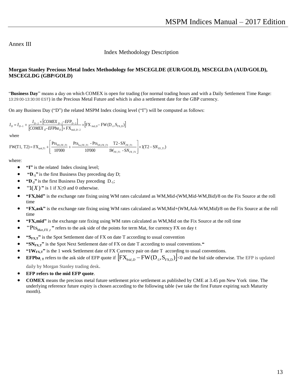#### Annex III

Index Methodology Description

#### **Morgan Stanley Precious Metal Index Methodology for MSCEGLDE (EUR/GOLD), MSCEGLDA (AUD/GOLD), MSCEGLDG (GBP/GOLD)**

"**Business Day**" means a day on which COMEX is open for trading (for normal trading hours and with a Daily Settlement Time Range: 13:29:00-13:30:00 EST) in the Precious Metal Future and which is also a settlement date for the GBP currency.

On any Business Day ("D") the related MSPM Index closing level ("I") will be computed as follows:

$$
I_{D} = I_{D-1} + \frac{I_{D-2} \times [COMEX_{D-2} - EFP_{D-2}]}{[COMEX_{D} - EFPba_{D}] \times FX_{mid,D-2}} \times [FX_{bid,D} - FW(D_{.1}, S_{FX,D})]
$$

where

$$
I_{D} = I_{D-1} + \frac{1}{[COMEX_{D}-EFPba_{D}] \times FX_{mid,D-2}} \times [FX_{bid,D} - FW(D_{-1}, S_{FX,D})]
$$
  
where  

$$
FW(T1, T2) = FX_{ask,T1} + \left[ \frac{Pt_{S_{N,FX,T1}}}{10000} + \frac{Pt_{S_{N,FX,T1}} - Pt_{S_{N,FX,T1}}}{10000} \frac{T2 - SN_{FX,T1}}{1W_{FX,T1} - SN_{FX,T1}} \right] \times 1(T2 - SN_{FX,T1})
$$

where:

- **"I"** is the related Index closing level;
- **"D-1"** is the first Business Day preceding day D;
- **"D-2"** is the first Business Day preceding D-1;
- $\bullet$  "1(*X*)" is 1 if X>0 and 0 otherwise.
- **"FX,bid"** is the exchange rate fixing using WM rates calculated as WM,Mid-(WM,Mid-WM,Bid)/8 on the Fix Source at the roll time
- **"FX,ask"** is the exchange rate fixing using WM rates calculated as WM,Mid+(WM,Ask-WM,Mid)/8 on the Fix Source at the roll time
- **"FX,mid"** is the exchange rate fixing using WM rates calculated as WM,Mid on the Fix Source at the roll time
- $\bullet$  "Pts<sub>Mat,*FX*,*t*</sub>" refers to the ask side of the points for term Mat, for currency FX on day t
- **\*** "S<sub>FX,T</sub>" is the Spot Settlement date of FX on date T according to usual convention
- **"SNFX,T"** is the Spot Next Settlement date of FX on date T according to usual conventions.**"**
- " $1W_{\text{FXT}}$ " is the 1 week Settlement date of FX Currency pair on date T according to usual conventions.
- **EFPba**, **T** refers to the ask side of EFP quote if  $\left[ FX_{bid,D} FW(D_{.1}, S_{FX,D})\right] < 0$  and the bid side otherwise. The EFP is updated

daily by Morgan Stanley trading desk.

- **EFP refers to the mid EFP quote**.
- **COMEX** means the precious metal future settlement price settlement as published by CME at 3.45 pm New York time. The underlying reference future expiry is chosen according to the following table (we take the first Future expiring such Maturity month).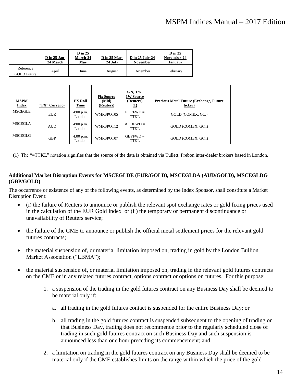|                                 | <b>D</b> in 25 Jan-<br><b>24 March</b> | $D$ in 25<br>March-24<br><b>May</b> | $D$ in 25 May-<br>24 July | <b>D</b> in 25 July-24<br><b>November</b> | $D$ in 25<br>November-24<br>January |
|---------------------------------|----------------------------------------|-------------------------------------|---------------------------|-------------------------------------------|-------------------------------------|
| Reference<br><b>GOLD</b> Future | April                                  | June                                | August                    | December                                  | February                            |

| <b>MSPM</b><br><b>Index</b> | "FX" Currency | <b>FX Roll</b><br>Time | <b>Fix Source</b><br>(Mid)<br>(Reuters) | $S/N$ , $T/N$ ,<br><b>1W Source</b><br>(Reuters)<br>$\mathbf{\Omega}$ | <b>Precious Metal Future (Exchange, Future)</b><br>ticker) |
|-----------------------------|---------------|------------------------|-----------------------------------------|-----------------------------------------------------------------------|------------------------------------------------------------|
| <b>MSCEGLE</b>              | <b>EUR</b>    | $4:00$ p.m.<br>London  | WMRSPOT05                               | $EURFWD =$<br><b>TTKL</b>                                             | GOLD (COMEX, GC.)                                          |
| <b>MSCEGLA</b>              | <b>AUD</b>    | 4:00 p.m.<br>London    | WMRSPOT12                               | $AUDFWD =$<br>TTKL                                                    | GOLD (COMEX, GC)                                           |
| <b>MSCEGLG</b>              | <b>GBP</b>    | $4:00$ p.m.<br>London  | WMRSPOT07                               | $GBPFWD =$<br>TTKL                                                    | GOLD (COMEX, GC)                                           |

(1) The "=TTKL" notation signifies that the source of the data is obtained via Tullett, Prebon inter-dealer brokers based in London.

#### **Additional Market Disruption Events for MSCEGLDE (EUR/GOLD), MSCEGLDA (AUD/GOLD), MSCEGLDG (GBP/GOLD)**

The occurrence or existence of any of the following events, as determined by the Index Sponsor, shall constitute a Market Disruption Event:

- (i) the failure of Reuters to announce or publish the relevant spot exchange rates or gold fixing prices used in the calculation of the EUR Gold Index or (ii) the temporary or permanent discontinuance or unavailability of Reuters service;
- the failure of the CME to announce or publish the official metal settlement prices for the relevant gold futures contracts;
- the material suspension of, or material limitation imposed on, trading in gold by the London Bullion Market Association ("LBMA");
- the material suspension of, or material limitation imposed on, trading in the relevant gold futures contracts on the CME or in any related futures contract, options contract or options on futures. For this purpose:
	- 1. a suspension of the trading in the gold futures contract on any Business Day shall be deemed to be material only if:
		- a. all trading in the gold futures contact is suspended for the entire Business Day; or
		- b. all trading in the gold futures contract is suspended subsequent to the opening of trading on that Business Day, trading does not recommence prior to the regularly scheduled close of trading in such gold futures contract on such Business Day and such suspension is announced less than one hour preceding its commencement; and
	- 2. a limitation on trading in the gold futures contract on any Business Day shall be deemed to be material only if the CME establishes limits on the range within which the price of the gold